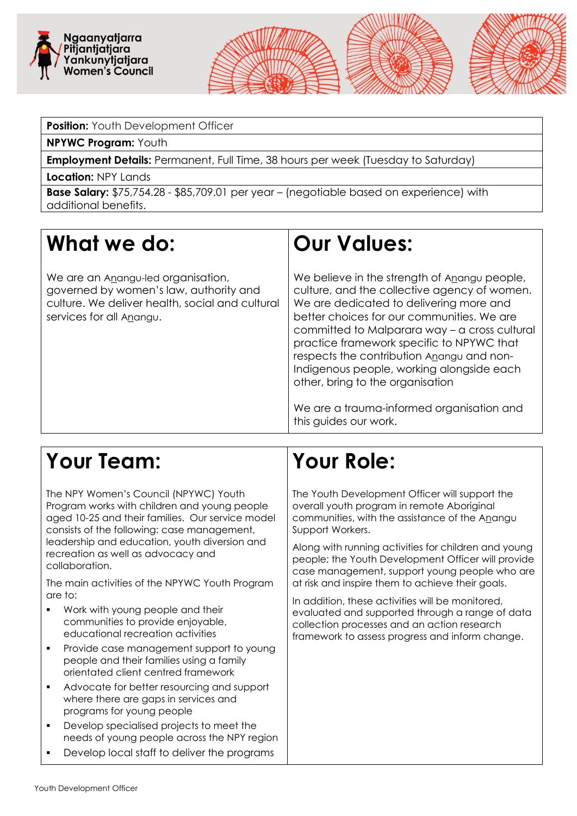



**Position:** Youth Development Officer

**NPYWC Program:** Youth

**Employment Details:** Permanent, Full Time, 38 hours per week (Tuesday to Saturday)

**Location:** NPY Lands

**Base Salary:** \$75,754.28 - \$85,709.01 per year – (negotiable based on experience) with additional benefits.

## **What we do:**

We are an Anangu-led organisation, governed by women's law, authority and culture. We deliver health, social and cultural services for all Anangu.

# **Our Values:**

We believe in the strength of Anangu people, culture, and the collective agency of women. We are dedicated to delivering more and better choices for our communities. We are committed to Malparara way – a cross cultural practice framework specific to NPYWC that respects the contribution Anangu and non-Indigenous people, working alongside each other, bring to the organisation

We are a trauma-informed organisation and this guides our work.

### **Your Team:**

The NPY Women's Council (NPYWC) Youth Program works with children and young people aged 10-25 and their families. Our service model consists of the following: case management, leadership and education, youth diversion and recreation as well as advocacy and collaboration.

The main activities of the NPYWC Youth Program are to:

- Work with young people and their communities to provide enjoyable, educational recreation activities
- **Provide case management support to young** people and their families using a family orientated client centred framework
- Advocate for better resourcing and support where there are gaps in services and programs for young people
- Develop specialised projects to meet the needs of young people across the NPY region
- Develop local staff to deliver the programs

### **Your Role:**

The Youth Development Officer will support the overall youth program in remote Aboriginal communities, with the assistance of the Anangu Support Workers.

Along with running activities for children and young people; the Youth Development Officer will provide case management, support young people who are at risk and inspire them to achieve their goals.

In addition, these activities will be monitored, evaluated and supported through a range of data collection processes and an action research framework to assess progress and inform change.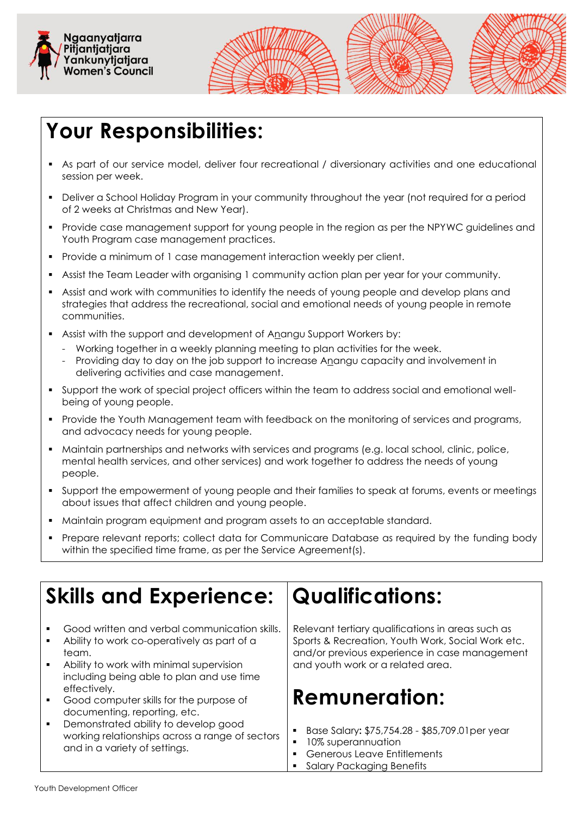



# **Your Responsibilities:**

- As part of our service model, deliver four recreational / diversionary activities and one educational session per week.
- Deliver a School Holiday Program in your community throughout the year (not required for a period of 2 weeks at Christmas and New Year).
- Provide case management support for young people in the region as per the NPYWC guidelines and Youth Program case management practices.
- **Provide a minimum of 1 case management interaction weekly per client.**
- Assist the Team Leader with organising 1 community action plan per year for your community.
- Assist and work with communities to identify the needs of young people and develop plans and strategies that address the recreational, social and emotional needs of young people in remote communities.
- Assist with the support and development of Anangu Support Workers by:
	- Working together in a weekly planning meeting to plan activities for the week.
	- Providing day to day on the job support to increase Anangu capacity and involvement in delivering activities and case management.
- Support the work of special project officers within the team to address social and emotional wellbeing of young people.
- **Provide the Youth Management team with feedback on the monitoring of services and programs,** and advocacy needs for young people.
- Maintain partnerships and networks with services and programs (e.g. local school, clinic, police, mental health services, and other services) and work together to address the needs of young people.
- Support the empowerment of young people and their families to speak at forums, events or meetings about issues that affect children and young people.
- Maintain program equipment and program assets to an acceptable standard.
- Prepare relevant reports; collect data for Communicare Database as required by the funding body within the specified time frame, as per the Service Agreement(s).

| <b>Skills and Experience:   Qualifications:</b>                                                                                                                                                                                         |                                                                                                                                                                                              |
|-----------------------------------------------------------------------------------------------------------------------------------------------------------------------------------------------------------------------------------------|----------------------------------------------------------------------------------------------------------------------------------------------------------------------------------------------|
| Good written and verbal communication skills.<br>$\blacksquare$<br>Ability to work co-operatively as part of a<br>٠<br>team.<br>Ability to work with minimal supervision<br>$\blacksquare$<br>including being able to plan and use time | Relevant tertiary qualifications in areas such as<br>Sports & Recreation, Youth Work, Social Work etc.<br>and/or previous experience in case management<br>and youth work or a related area. |
| effectively.<br>Good computer skills for the purpose of<br>٠                                                                                                                                                                            | <b>Remuneration:</b>                                                                                                                                                                         |
| documenting, reporting, etc.<br>Demonstrated ability to develop good<br>٠<br>working relationships across a range of sectors<br>and in a variety of settings.                                                                           | Base Salary: \$75,754.28 - \$85,709.01 per year<br>10% superannuation<br>Generous Leave Entitlements<br><b>Salary Packaging Benefits</b>                                                     |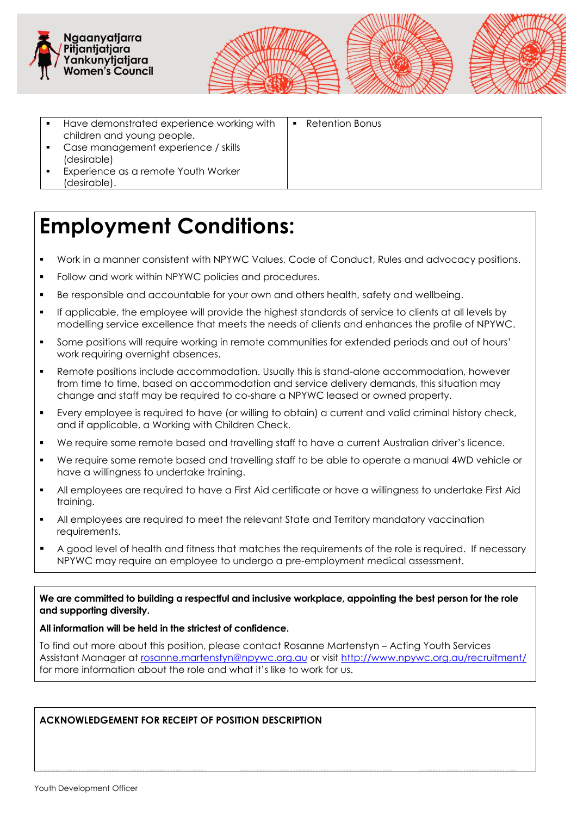



 Have demonstrated experience working with children and young people. Case management experience / skills (desirable) **Experience as a remote Youth Worker** (desirable). **Retention Bonus** 

#### **Employment Conditions:**

- Work in a manner consistent with NPYWC Values, Code of Conduct, Rules and advocacy positions.
- **Follow and work within NPYWC policies and procedures.**
- Be responsible and accountable for your own and others health, safety and wellbeing.
- If applicable, the employee will provide the highest standards of service to clients at all levels by modelling service excellence that meets the needs of clients and enhances the profile of NPYWC.
- Some positions will require working in remote communities for extended periods and out of hours' work requiring overnight absences.
- Remote positions include accommodation. Usually this is stand-alone accommodation, however from time to time, based on accommodation and service delivery demands, this situation may change and staff may be required to co-share a NPYWC leased or owned property.
- Every employee is required to have (or willing to obtain) a current and valid criminal history check, and if applicable, a Working with Children Check.
- We require some remote based and travelling staff to have a current Australian driver's licence.
- We require some remote based and travelling staff to be able to operate a manual 4WD vehicle or have a willingness to undertake training.
- All employees are required to have a First Aid certificate or have a willingness to undertake First Aid training.
- All employees are required to meet the relevant State and Territory mandatory vaccination requirements.
- A good level of health and fitness that matches the requirements of the role is required. If necessary NPYWC may require an employee to undergo a pre-employment medical assessment.

We are committed to building a respectful and inclusive workplace, appointing the best person for the role **and supporting diversity.** 

#### **All information will be held in the strictest of confidence.**

To find out more about this position, please contact Rosanne Martenstyn – Acting Youth Services Assistant Manager at [rosanne.martenstyn@npywc.org.au](mailto:rosanne.martenstyn@npywc.org.au) or visit <http://www.npywc.org.au/recruitment/> for more information about the role and what it's like to work for us.

#### **ACKNOWLEDGEMENT FOR RECEIPT OF POSITION DESCRIPTION**